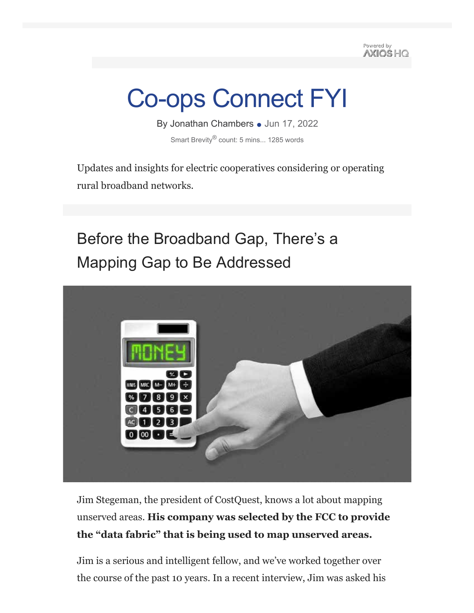Powered by **AXIOS HO** 

# Co-ops Connect FYI

By Jonathan Chambers • Jun 17, 2022 Smart Brevity<sup>®</sup> count: 5 mins... 1285 words

Updates and insights for electric cooperatives considering or operating rural broadband networks.

# Before the Broadband Gap, There's a Mapping Gap to Be Addressed



Jim Stegeman, the president of CostQuest, knows a lot about mapping unserved areas. **His company was selected by the FCC to provide the "data fabric" that is being used to map unserved areas.**

Jim is a serious and intelligent fellow, and we've worked together over the course of the past 10 years. In a recent interview, Jim was asked his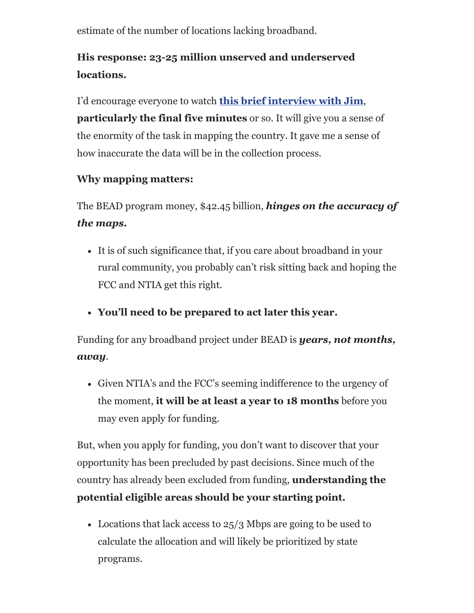estimate of the number of locations lacking broadband.

## **His response: 23-25 million unserved and underserved locations.**

I'd encourage everyone to watch **this brief interview with Jim**, **particularly the final five minutes** or so. It will give you a sense of the enormity of the task in mapping the country. It gave me a sense of how inaccurate the data will be in the collection process.

#### **Why mapping matters:**

The BEAD program money, \$42.45 billion, *hinges on the accuracy of the maps.*

- It is of such significance that, if you care about broadband in your rural community, you probably can't risk sitting back and hoping the FCC and NTIA get this right.
- **You'll need to be prepared to act later this year.**

Funding for any broadband project under BEAD is *years, not months, away*.

Given NTIA's and the FCC's seeming indifference to the urgency of the moment, **it will be at least a year to 18 months** before you may even apply for funding.

But, when you apply for funding, you don't want to discover that your opportunity has been precluded by past decisions. Since much of the country has already been excluded from funding, **understanding the potential eligible areas should be your starting point.**

• Locations that lack access to  $25/3$  Mbps are going to be used to calculate the allocation and will likely be prioritized by state programs.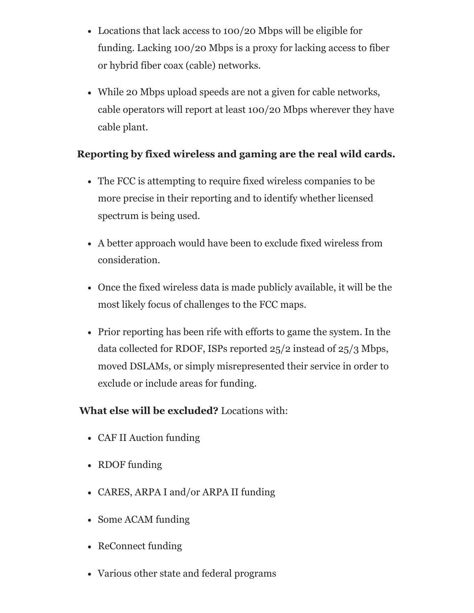- Locations that lack access to 100/20 Mbps will be eligible for funding. Lacking 100/20 Mbps is a proxy for lacking access to fiber or hybrid fiber coax (cable) networks.
- While 20 Mbps upload speeds are not a given for cable networks, cable operators will report at least 100/20 Mbps wherever they have cable plant.

#### **Reporting by fixed wireless and gaming are the real wild cards.**

- The FCC is attempting to require fixed wireless companies to be more precise in their reporting and to identify whether licensed spectrum is being used.
- A better approach would have been to exclude fixed wireless from consideration.
- Once the fixed wireless data is made publicly available, it will be the most likely focus of challenges to the FCC maps.
- Prior reporting has been rife with efforts to game the system. In the data collected for RDOF, ISPs reported 25/2 instead of 25/3 Mbps, moved DSLAMs, or simply misrepresented their service in order to exclude or include areas for funding.

#### **What else will be excluded?** Locations with:

- CAF II Auction funding
- RDOF funding
- CARES, ARPA I and/or ARPA II funding
- Some ACAM funding
- ReConnect funding
- Various other state and federal programs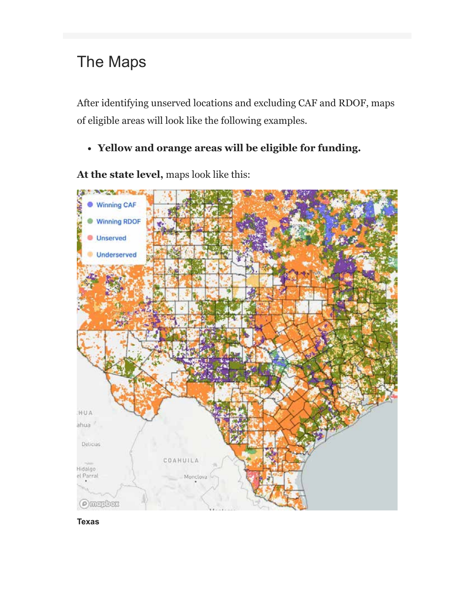# The Maps

After identifying unserved locations and excluding CAF and RDOF, maps of eligible areas will look like the following examples.

**Yellow and orange areas will be eligible for funding.**

**At the state level,** maps look like this:



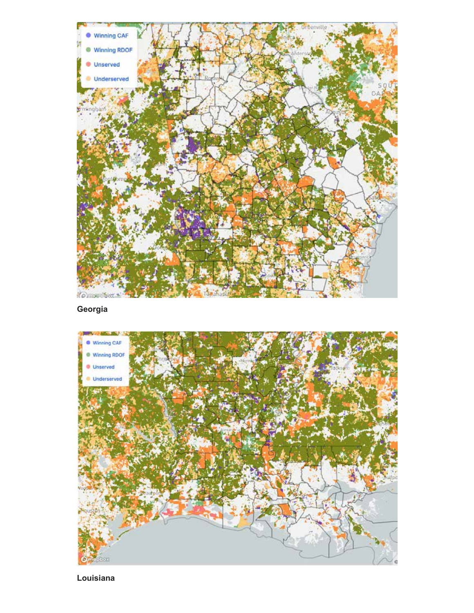

**Georgia**



**Louisiana**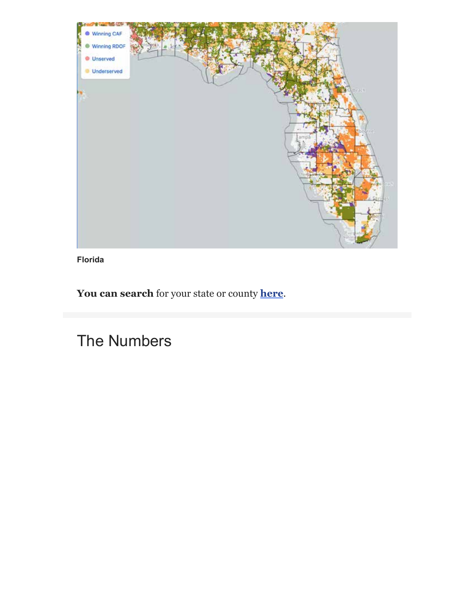

**Florida**

**You can search** for your state or county **here**.

The Numbers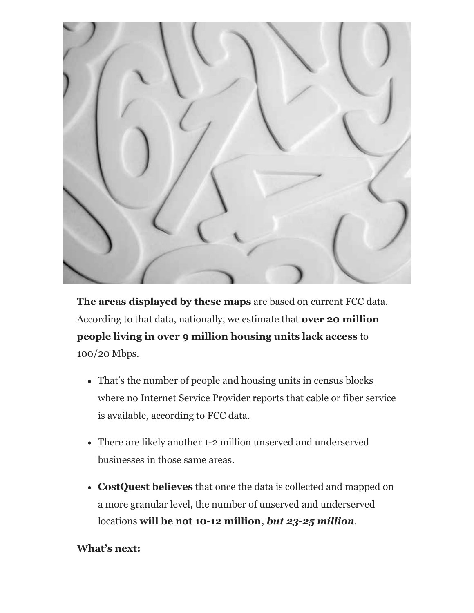

**The areas displayed by these maps** are based on current FCC data. According to that data, nationally, we estimate that **over 20 million people living in over 9 million housing units lack access** to 100/20 Mbps.

- That's the number of people and housing units in census blocks where no Internet Service Provider reports that cable or fiber service is available, according to FCC data.
- There are likely another 1-2 million unserved and underserved businesses in those same areas.
- **CostQuest believes** that once the data is collected and mapped on a more granular level, the number of unserved and underserved locations **will be not 10-12 million,** *but 23-25 million*.

#### **What's next:**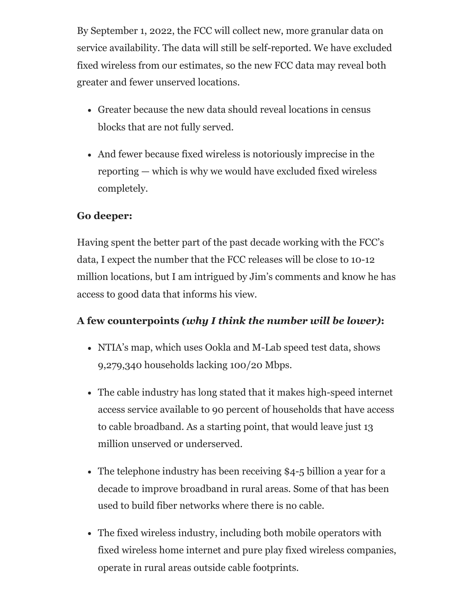By September 1, 2022, the FCC will collect new, more granular data on service availability. The data will still be self-reported. We have excluded fixed wireless from our estimates, so the new FCC data may reveal both greater and fewer unserved locations.

- Greater because the new data should reveal locations in census blocks that are not fully served.
- And fewer because fixed wireless is notoriously imprecise in the reporting — which is why we would have excluded fixed wireless completely.

#### **Go deeper:**

Having spent the better part of the past decade working with the FCC's data, I expect the number that the FCC releases will be close to 10-12 million locations, but I am intrigued by Jim's comments and know he has access to good data that informs his view.

#### **A few counterpoints** *(why I think the number will be lower)***:**

- NTIA's map, which uses Ookla and M-Lab speed test data, shows 9,279,340 households lacking 100/20 Mbps.
- The cable industry has long stated that it makes high-speed internet access service available to 90 percent of households that have access to cable broadband. As a starting point, that would leave just 13 million unserved or underserved.
- The telephone industry has been receiving \$4-5 billion a year for a decade to improve broadband in rural areas. Some of that has been used to build fiber networks where there is no cable.
- The fixed wireless industry, including both mobile operators with fixed wireless home internet and pure play fixed wireless companies, operate in rural areas outside cable footprints.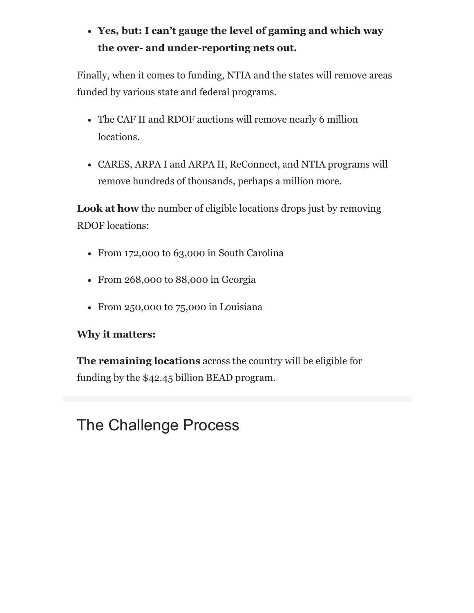### **Yes, but: I can't gauge the level of gaming and which way the over- and under-reporting nets out.**

Finally, when it comes to funding, NTIA and the states will remove areas funded by various state and federal programs.

- The CAF II and RDOF auctions will remove nearly 6 million locations.
- CARES, ARPA I and ARPA II, ReConnect, and NTIA programs will remove hundreds of thousands, perhaps a million more.

**Look at how** the number of eligible locations drops just by removing RDOF locations:

- From 172,000 to 63,000 in South Carolina
- From 268,000 to 88,000 in Georgia
- From 250,000 to 75,000 in Louisiana

#### **Why it matters:**

**The remaining locations** across the country will be eligible for funding by the \$42.45 billion BEAD program.

# The Challenge Process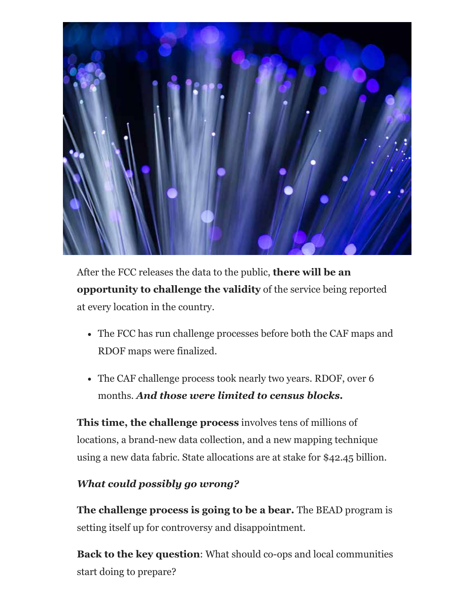

After the FCC releases the data to the public, **there will be an opportunity to challenge the validity** of the service being reported at every location in the country.

- The FCC has run challenge processes before both the CAF maps and RDOF maps were finalized.
- The CAF challenge process took nearly two years. RDOF, over 6 months. *And those were limited to census blocks.*

**This time, the challenge process** involves tens of millions of locations, a brand-new data collection, and a new mapping technique using a new data fabric. State allocations are at stake for \$42.45 billion.

#### *What could possibly go wrong?*

**The challenge process is going to be a bear.** The BEAD program is setting itself up for controversy and disappointment.

**Back to the key question**: What should co-ops and local communities start doing to prepare?